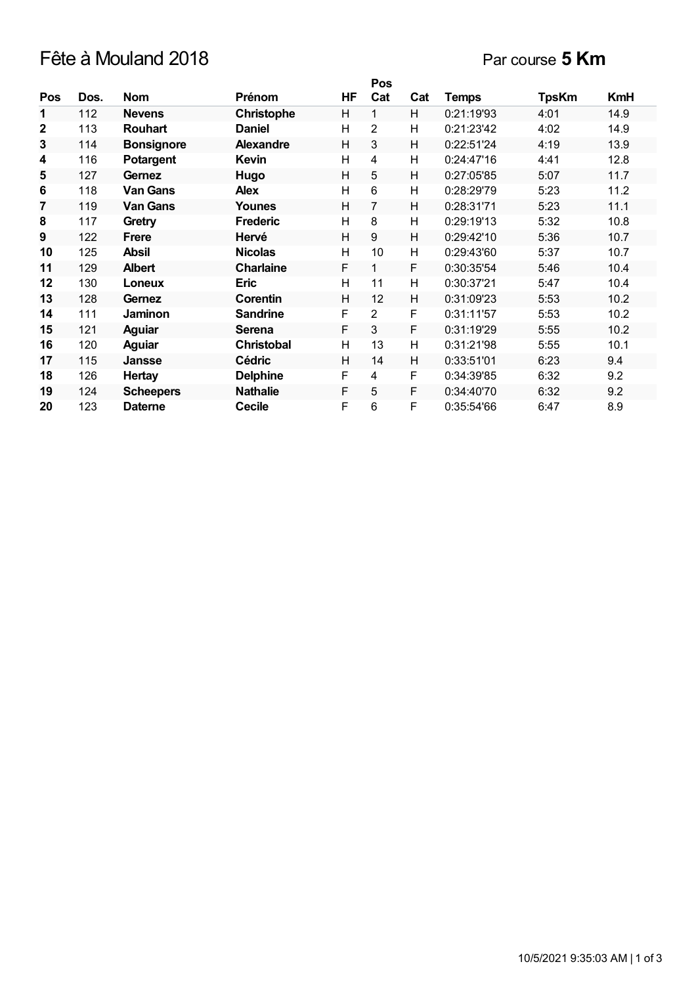## Fête à Mouland 2018 Par course **5 Km**

|              |      |                   |                   |    | Pos            |     |              |              |            |
|--------------|------|-------------------|-------------------|----|----------------|-----|--------------|--------------|------------|
| <b>Pos</b>   | Dos. | <b>Nom</b>        | Prénom            | HF | Cat            | Cat | <b>Temps</b> | <b>TpsKm</b> | <b>KmH</b> |
| 1            | 112  | <b>Nevens</b>     | <b>Christophe</b> | H  | 1              | H   | 0:21:19'93   | 4:01         | 14.9       |
| $\mathbf{2}$ | 113  | <b>Rouhart</b>    | <b>Daniel</b>     | Н  | 2              | Н   | 0:21:23'42   | 4:02         | 14.9       |
| $\mathbf{3}$ | 114  | <b>Bonsignore</b> | <b>Alexandre</b>  | Н  | 3              | Н   | 0:22:51'24   | 4:19         | 13.9       |
| 4            | 116  | Potargent         | Kevin             | Н  | 4              | н   | 0:24:47'16   | 4:41         | 12.8       |
| 5            | 127  | Gernez            | Hugo              | H  | 5              | H   | 0:27:05'85   | 5:07         | 11.7       |
| 6            | 118  | <b>Van Gans</b>   | <b>Alex</b>       | Н  | 6              | H   | 0:28:29'79   | 5:23         | 11.2       |
| 7            | 119  | <b>Van Gans</b>   | Younes            | Н  | 7              | н   | 0:28:31'71   | 5:23         | 11.1       |
| 8            | 117  | Gretry            | <b>Frederic</b>   | H  | 8              | H   | 0:29:19'13   | 5:32         | 10.8       |
| 9            | 122  | <b>Frere</b>      | Hervé             | Н  | 9              | н   | 0:29:42'10   | 5:36         | 10.7       |
| 10           | 125  | <b>Absil</b>      | <b>Nicolas</b>    | н  | 10             | Н   | 0:29:43'60   | 5:37         | 10.7       |
| 11           | 129  | <b>Albert</b>     | <b>Charlaine</b>  | F  | 1              | F   | 0:30:35'54   | 5:46         | 10.4       |
| 12           | 130  | Loneux            | <b>Eric</b>       | H  | 11             | H   | 0:30:37'21   | 5:47         | 10.4       |
| 13           | 128  | Gernez            | Corentin          | Н  | 12             | H   | 0:31:09'23   | 5:53         | 10.2       |
| 14           | 111  | Jaminon           | <b>Sandrine</b>   | F  | $\overline{2}$ | F   | 0:31:11'57   | 5:53         | 10.2       |
| 15           | 121  | <b>Aguiar</b>     | <b>Serena</b>     | F  | 3              | F   | 0:31:19'29   | 5:55         | 10.2       |
| 16           | 120  | <b>Aguiar</b>     | <b>Christobal</b> | H  | 13             | H   | 0:31:21'98   | 5:55         | 10.1       |
| 17           | 115  | Jansse            | <b>Cédric</b>     | H  | 14             | H   | 0:33:51'01   | 6:23         | 9.4        |
| 18           | 126  | <b>Hertay</b>     | <b>Delphine</b>   | F  | $\overline{4}$ | F   | 0:34:39'85   | 6:32         | 9.2        |
| 19           | 124  | <b>Scheepers</b>  | <b>Nathalie</b>   | F  | 5              | F   | 0:34:40'70   | 6:32         | 9.2        |
| 20           | 123  | <b>Daterne</b>    | <b>Cecile</b>     | F  | 6              | F   | 0:35:54'66   | 6:47         | 8.9        |